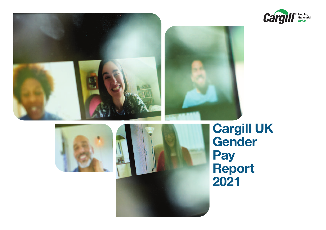









**Cargill UK Gender Pay Report 2021**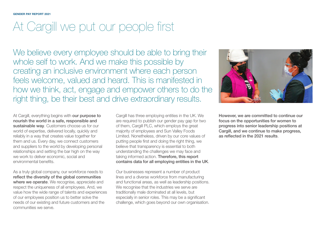#### **GENDER PAY REPORT 2021**

### At Cargill we put our people first

We believe every employee should be able to bring their whole self to work. And we make this possible by creating an inclusive environment where each person feels welcome, valued and heard. This is manifested in how we think, act, engage and empower others to do the right thing, be their best and drive extraordinary results.

At Cargill, everything begins with **our purpose to nourish the world in a safe, responsible and sustainable way**. Customers choose us for our world of expertise, delivered locally, quickly and reliably in a way that creates value together for them and us. Every day, we connect customers and suppliers to the world by developing personal relationships and setting the bar high on the way we work to deliver economic, social and environmental benefits.

As a truly global company, our workforce needs to **reflect the diversity of the global communities where we operate**. We recognise, appreciate and respect the uniqueness of all employees. And, we value how the wide range of talents and experiences of our employees position us to better solve the needs of our existing and future customers and the communities we serve.

Cargill has three employing entities in the UK. We are required to publish our gender pay gap for two of them, Cargill PLC, which employs the great majority of employees and Sun Valley Foods Limited. Nonetheless, driven by our core values of putting people first and doing the right thing, we believe that transparency is essential to both understanding the challenges we may face and taking informed action. **Therefore, this report contains data for all employing entities in the UK**.

Our businesses represent a number of product lines and a diverse workforce from manufacturing and functional areas, as well as leadership positions. We recognise that the industries we serve are traditionally male dominated at all levels, but especially in senior roles. This may be a significant challenge, which goes beyond our own organisation.



**However, we are committed to continue our focus on the opportunities for women to progress into senior leadership positions at Cargill, and we continue to make progress, as reflected in the 2021 results**.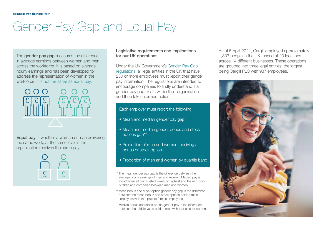## Gender Pay Gap and Equal Pay

The **gender pay gap** measures the difference in average earnings between women and men across the workforce. It is based on average hourly earnings and has been developed to address the representation of women in the workforce. It is not the same as equal pay.



**Equal pay** is whether a woman or man delivering the same work, at the same level in the organisation receives the same pay.



#### **Legislative requirements and implications for our UK operations**

Under the UK [Government's](https://www.gov.uk/guidance/gender-pay-gap-reporting-overview) Gender Pay Gap regulations, all legal entities in the UK that have 250 or more employees must report their gender pay information. The regulations are intended to encourage companies to firstly understand if a gender pay gap exists within their organisation and then take informed action.

#### Each employer must report the following:

- Mean and median gender pay gap\*
- Mean and median gender bonus and stock options gap\*\*
- Proportion of men and women receiving a bonus or stock option
- Proportion of men and women by quartile band
- \*The mean gender pay gap is the difference between the average hourly earnings of men and women. Median pay is found when all pay is listed lowest to highest and the mid-point is taken and compared between men and women.
- \*\* Mean bonus and stock option gender pay gap is the difference between the mean bonus and stock options paid to male employees with that paid to female employees.

Median bonus and stock option gender pay is the difference between the middle value paid to men with that paid to women. As of 5 April 2021, Cargill employed approximately 1,333 people in the UK, based at 20 locations across 14 different businesses. These operations are grouped into three legal entities, the largest being Cargill PLC with 937 employees.

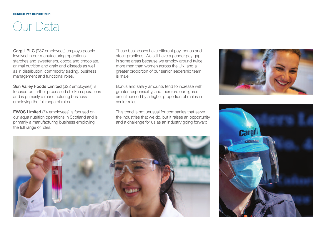### Our Data

**Cargill PLC** (937 employees) employs people involved in our manufacturing operations – starches and sweeteners, cocoa and chocolate, animal nutrition and grain and oilseeds as well as in distribution, commodity trading, business management and functional roles.

**Sun Valley Foods Limited** (322 employees) is focused on further processed chicken operations and is primarily a manufacturing business employing the full range of roles.

**EWOS Limited** (74 employees) is focused on our aqua nutrition operations in Scotland and is primarily a manufacturing business employing the full range of roles.

These businesses have different pay, bonus and stock practices. We still have a gender pay gap in some areas because we employ around twice more men than women across the UK, and a greater proportion of our senior leadership team is male.

Bonus and salary amounts tend to increase with greater responsibility, and therefore our figures are influenced by a higher proportion of males in senior roles.

This trend is not unusual for companies that serve the industries that we do, but it raises an opportunity and a challenge for us as an industry going forward.





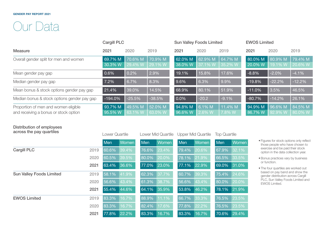### Our Data

|                                                                               | <b>Cargill PLC</b> |                    |                    | <b>Sun Valley Foods Limited</b> |                    |                    | <b>EWOS Limited</b> |                    |                    |
|-------------------------------------------------------------------------------|--------------------|--------------------|--------------------|---------------------------------|--------------------|--------------------|---------------------|--------------------|--------------------|
| <b>Measure</b>                                                                | 2021               | 2020               | 2019               | 2021                            | 2020               | 2019               | 2021                | 2020               | 2019               |
| Overall gender split for men and women                                        | 69.7% M<br>30.3% W | 70.6% M<br>29.4% W | 70.9% M<br>29.1% W | 62.0% M<br>38.0% W              | 62.9% M<br>37.1% W | 64.7% M<br>35.2% W | 80.0% M<br>20.0% W  | 80.9% M<br>19.1% W | 79.4% M<br>20.6% W |
| Mean gender pay gap                                                           | 0.6%               | 0.2%               | 2.9%               | 19.1%                           | 15.8%              | 17.6%              | $-8.8%$             | $-2.0%$            | $-4.1%$            |
| Median gender pay gap                                                         | 7.2%               | 6.7%               | 8.3%               | 9.6%                            | 6.3%               | 9.9%               | $-19.8%$            | $-22.2%$           | $-12.2%$           |
| Mean bonus & stock options gender pay gap                                     | 21.4%              | 39.0%              | 14.5%              | 68.9%                           | 80.1%              | 51.9%              | $-11.0%$            | 3.5%               | 46.5%              |
| Median bonus & stock options gender pay gap                                   | $-194.0%$          | $-25.5%$           | $-38.5%$           | 0.0%                            | $-20.2$            | $-9.1%$            | $-80.7%$            | $-14.2%$           | 26.1%              |
| Proportion of men and women eligible<br>and receiving a bonus or stock option | 93.7% M<br>95.5% W | 49.5% M<br>63.1% W | 52.0% M<br>63.0% W | $194.8\%$ M<br>96.6% W          | 6.1% M<br>2.6% W   | 11.4% M<br>7.8% W  | 94.9% M<br>86.7% W  | 96.6% M<br>92.9% W | 84.5% M<br>80.0% W |

#### **Distribution of employees**

| across the pay quartiles        |      | Lower Quartile |       | Lower Mid Quartile |          | <b>Upper Mid Quartile</b> |       | <b>Top Quartile</b> |       |
|---------------------------------|------|----------------|-------|--------------------|----------|---------------------------|-------|---------------------|-------|
|                                 |      | Men            | Women | Men                | Women    | Men                       | Women | Men                 | Women |
| <b>Cargill PLC</b>              | 2019 | 60.6%          | 39.4% | 76.6%              | 23.4%    | 79.4%                     | 20.6% | 67.9%               | 32.1% |
|                                 | 2020 | 60.5%          | 39.5% | 80.0%              | $20.0\%$ | 78.1%                     | 21.9% | 66.5%               | 33.5% |
|                                 | 2021 | 63.4%          | 36.6% | 77.0%              | 23.0%    | 77.1%                     | 22.9% | 69.0%               | 31.0% |
| <b>Sun Valley Foods Limited</b> | 2019 | 58.1%          | 41.9% | 62.3%              | 37.7%    | 60.7%                     | 39.3% | 75.4%               | 24.6% |
|                                 | 2020 | 56.6%          | 43.4% | 61.3%              | 38.7%    | 56.6%                     | 43.4% | 80.0%               | 20.0% |
|                                 | 2021 | 55.4%          | 44.6% | 64.1%              | 35.9%    | 53.8%                     | 46.2% | 78.1%               | 21.9% |
| <b>EWOS Limited</b>             | 2019 | 83.3%          | 16.7% | 88.9%              | 11.1%    | 66.7%                     | 33.3% | 76.5%               | 23.5% |
|                                 | 2020 | 83.3%          | 16.7% | 82.4%              | 17.6%    | 77.8%                     | 22.2% | 76.5%               | 23.5% |
|                                 | 2021 | 77.8%          | 22.2% | 83.3%              | 16.7%    | 83.3%                     | 16.7% | 70.6%               | 29.4% |

- Figures for stock options only reflect those people who have chosen to exercise and be paid their stock option in the data collection year.
- Bonus practices vary by business or function.
- The four quartiles are worked out based on pay band and show the gender distribution across Cargill PLC, Sun Valley Foods Limited and EWOS Limited.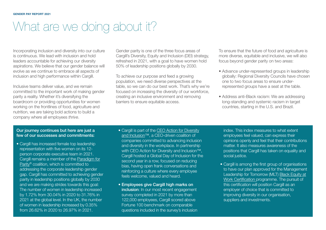### What are we doing about it?

Incorporating inclusion and diversity into our culture is continuous. We lead with inclusion and hold leaders accountable for achieving our diversity aspirations. We believe that our gender balance will evolve as we continue to embrace all aspects of inclusion and high performance within Cargill.

Inclusive teams deliver value, and we remain committed to the important work of making gender parity a reality. Whether it's diversifying the boardroom or providing opportunities for women working on the frontlines of food, agriculture and nutrition, we are taking bold actions to build a company where all employees *thrive*.

Gender parity is one of the three focus areas of Cargill's Diversity, Equity and Inclusion (DEI) strategy, refreshed in 2021, with a goal to have women hold 50% of leadership positions globally by 2030.

To achieve our purpose and feed a growing population, we need diverse perspectives at the table, so we can do our best work. That's why we're focused on increasing the diversity of our workforce, creating an inclusive environment and removing barriers to ensure equitable access.

To ensure that the future of food and agriculture is more diverse, equitable and inclusive, we will also focus beyond gender parity on two areas:

- Advance under-represented groups in leadership globally: Regional Diversity Councils have chosen one to two focus areas to ensure underrepresented groups have a seat at the table.
- Address anti-Black racism: We are addressing long-standing and systemic racism in target countries, starting in the U.S. and Brazil.

#### **Our journey continues but here are just a few of our successes and commitments:**

- Cargill has increased female top leadership representation with five women on its 12 person corporate executive team in 2021. Cargill remains a member of the Paradigm for Parity® coalition, which is [committed](https://www.paradigm4parity.com/companies) to addressing the corporate leadership gender gap. Cargill has committed to achieving gender parity in leadership positions globally by 2030 and we are making strides towards this goal: The number of women in leadership increased by 1.72% from 30.04% in 2020 to 31.76% in 2021 at the global level. In the UK, the number of women in leadership increased by 0.35% from 26.62% in 2020 to 26.97% in 2021.
- Cargill is part of the CEO Action for Diversity and [Inclusion™,](https://www.ceoaction.com/) a CEO-driven coalition of companies committed to advancing inclusion and diversity in the workplace. In partnership with CEO Action for Diversity and Inclusion™, Cargill hosted a Global Day of Inclusion for the second year in a row, focused on reducing bias, having open frank conversations and reinforcing a culture where every employee feels welcome, valued and heard.
- **Employees give Cargill high marks on inclusion**: In our most recent engagement survey completed in 2021 by more than 122,000 employees, Cargill scored above Fortune 100 benchmark on comparable questions included in the survey's inclusion

index. This index measures to what extent employees feel valued, can express their opinions openly and feel that their contributions matter. It also measures awareness of the positions that Cargill has taken on equality and social justice.

• Cargill is among the first group of organisations to have our plan approved for the Management Leadership for Tomorrow (MLT) Black Equity at Work Certification [programme.](https://www.mltblackequityatwork.org/?McasTsid=15600) The pursuit of this certification will position Cargill as an employer of choice that is committed to improving diversity in our organisation, suppliers and investments.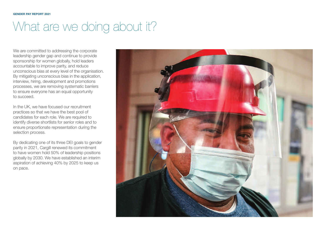# What are we doing about it?

We are committed to addressing the corporate leadership gender gap and continue to provide sponsorship for women globally, hold leaders accountable to improve parity, and reduce unconscious bias at every level of the organisation. By mitigating unconscious bias in the application, interview, hiring, development and promotions processes, we are removing systematic barriers to ensure everyone has an equal opportunity to succeed.

In the UK, we have focused our recruitment practices so that we have the best pool of candidates for each role. We are required to identify diverse shortlists for senior roles and to ensure proportionate representation during the selection process.

By dedicating one of its three DEI goals to gender parity in 2021, Cargill renewed its commitment to have women hold 50% of leadership positions globally by 2030. We have established an interim aspiration of achieving 40% by 2025 to keep us on pace.